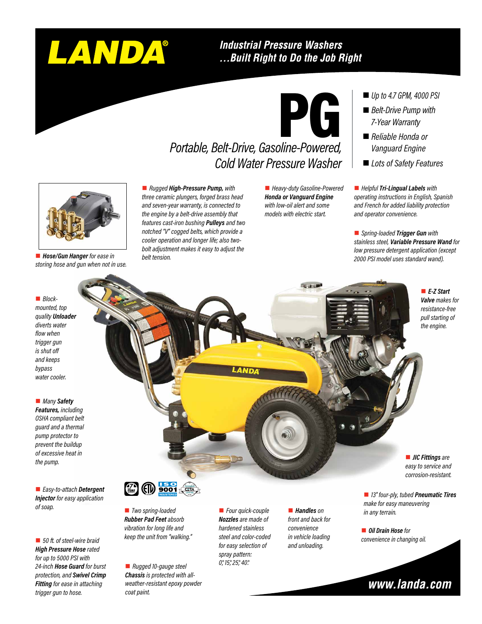# LANDA®

#### **Industrial Pressure Washers** ...Built Right to Do the Job Right



#### *Portable, Belt-Drive, Gasoline-Powered, Cold Water Pressure Washer*

■ *Rugged High-Pressure Pump, with three ceramic plungers, forged brass head and seven-year warranty, is connected to the engine by a belt-drive assembly that features cast-iron bushing Pulleys and two notched "V" cogged belts, which provide a cooler operation and longer life; also twobolt adjustment makes it easy to adjust the belt tension.*

■ Heavy-duty Gasoline-Powered *Honda or Vanguard Engine with low-oil alert and some models with electric start.*

- *Up to 4.7 GPM, 4000 PSI*
- *Belt-Drive Pump with 7-Year Warranty*
- *Reliable Honda or Vanguard Engine*
- *Lots of Safety Features*

■ *Helpful* **Tri-Lingual Labels** with *operating instructions in English, Spanish and French for added liability protection and operator convenience.*

■ *Spring-loaded Trigger Gun* with *stainless steel, Variable Pressure Wand for low pressure detergent application (except 2000 PSI model uses standard wand).*

#### ■ *Blockmounted, top quality Unloader diverts water flow when trigger gun is shut off and keeps bypass water cooler.*

■ Hose/Gun Hanger for ease in *storing hose and gun when not in use.*

**n** *Many* Safety *Features, including* 

*OSHA compliant belt guard and a thermal pump protector to prevent the buildup of excessive heat in the pump.*

n *Easy-to-attach Detergent Injector for easy application of soap.*

■ 50 ft. of steel-wire braid *High Pressure Hose rated for up to 5000 PSI with 24-inch Hose Guard for burst protection, and Swivel Crimp Fitting for ease in attaching trigger gun to hose.*



*pull starting of the engine.*

■ *E-Z Start Valve makes for resistance-free* 

■ *JIC Fittings are easy to service and corrosion-resistant.*

■ *13" four-ply, tubed Pneumatic Tires make for easy maneuvering in any terrain.*

**n** Oil Drain Hose for *convenience in changing oil.*



■ *Two spring-loaded Rubber Pad Feet absorb vibration for long life and keep the unit from "walking."*

n *Rugged 10-gauge steel Chassis is protected with allweather-resistant epoxy powder coat paint.*

**n** *Four quick-couple Nozzles are made of hardened stainless steel and color-coded for easy selection of spray pattern: 0°, 15°, 25°, 40°.*

■ *Handles* on *front and back for convenience in vehicle loading and unloading.*

### www.landa.com